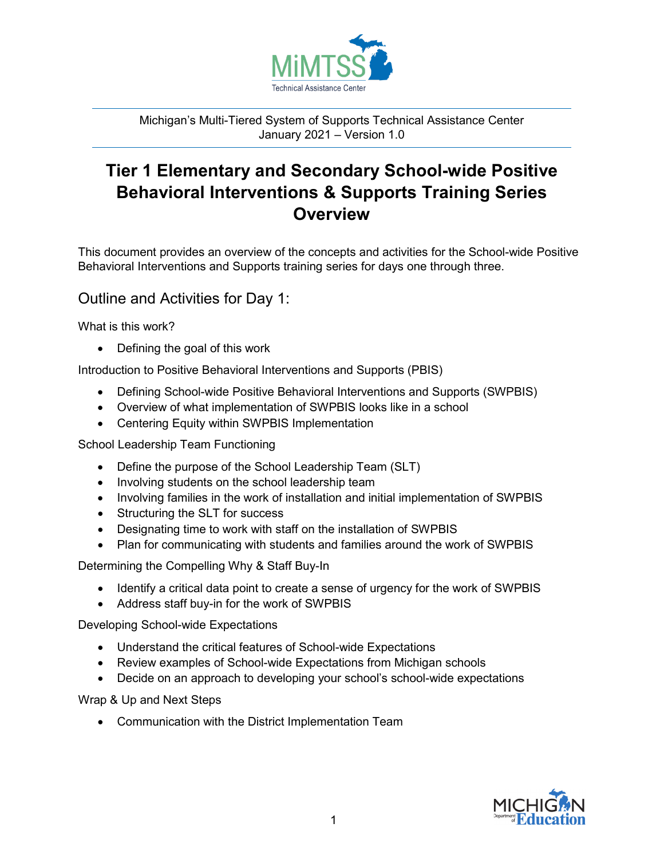

Michigan's Multi-Tiered System of Supports Technical Assistance Center January 2021 – Version 1.0

# **Tier 1 Elementary and Secondary School-wide Positive Behavioral Interventions & Supports Training Series Overview**

This document provides an overview of the concepts and activities for the School-wide Positive Behavioral Interventions and Supports training series for days one through three.

### Outline and Activities for Day 1:

What is this work?

• Defining the goal of this work

Introduction to Positive Behavioral Interventions and Supports (PBIS)

- Defining School-wide Positive Behavioral Interventions and Supports (SWPBIS)
- Overview of what implementation of SWPBIS looks like in a school
- Centering Equity within SWPBIS Implementation

School Leadership Team Functioning

- Define the purpose of the School Leadership Team (SLT)
- Involving students on the school leadership team
- Involving families in the work of installation and initial implementation of SWPBIS
- Structuring the SLT for success
- Designating time to work with staff on the installation of SWPBIS
- Plan for communicating with students and families around the work of SWPBIS

Determining the Compelling Why & Staff Buy-In

- Identify a critical data point to create a sense of urgency for the work of SWPBIS
- Address staff buy-in for the work of SWPBIS

Developing School-wide Expectations

- Understand the critical features of School-wide Expectations
- Review examples of School-wide Expectations from Michigan schools
- Decide on an approach to developing your school's school-wide expectations

Wrap & Up and Next Steps

• Communication with the District Implementation Team

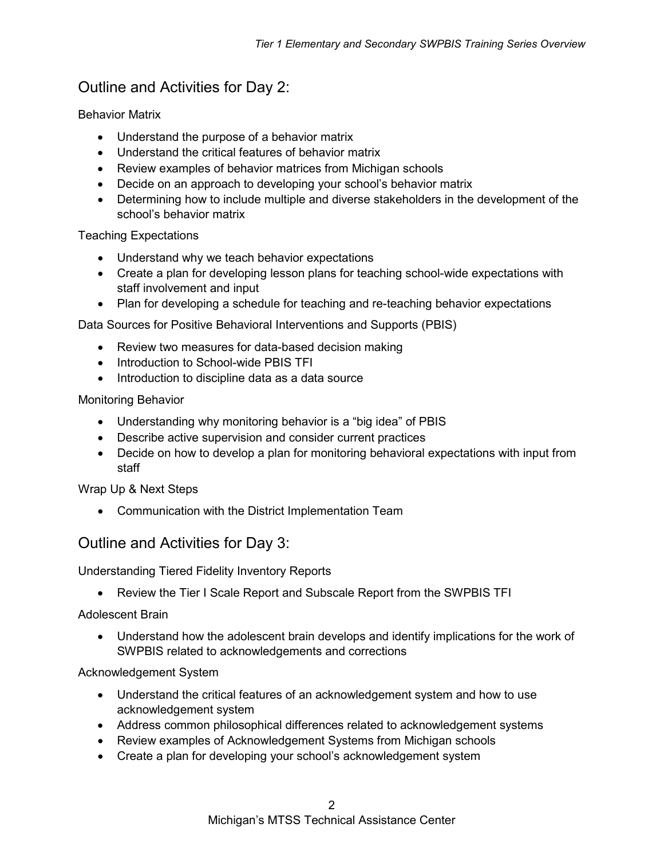## Outline and Activities for Day 2:

Behavior Matrix

- Understand the purpose of a behavior matrix
- Understand the critical features of behavior matrix
- Review examples of behavior matrices from Michigan schools
- Decide on an approach to developing your school's behavior matrix
- Determining how to include multiple and diverse stakeholders in the development of the school's behavior matrix

Teaching Expectations

- Understand why we teach behavior expectations
- Create a plan for developing lesson plans for teaching school-wide expectations with staff involvement and input
- Plan for developing a schedule for teaching and re-teaching behavior expectations

Data Sources for Positive Behavioral Interventions and Supports (PBIS)

- Review two measures for data-based decision making
- Introduction to School-wide PBIS TFI
- Introduction to discipline data as a data source

Monitoring Behavior

- Understanding why monitoring behavior is a "big idea" of PBIS
- Describe active supervision and consider current practices
- Decide on how to develop a plan for monitoring behavioral expectations with input from staff

Wrap Up & Next Steps

• Communication with the District Implementation Team

### Outline and Activities for Day 3:

Understanding Tiered Fidelity Inventory Reports

• Review the Tier I Scale Report and Subscale Report from the SWPBIS TFI

Adolescent Brain

• Understand how the adolescent brain develops and identify implications for the work of SWPBIS related to acknowledgements and corrections

#### Acknowledgement System

- Understand the critical features of an acknowledgement system and how to use acknowledgement system
- Address common philosophical differences related to acknowledgement systems
- Review examples of Acknowledgement Systems from Michigan schools
- Create a plan for developing your school's acknowledgement system